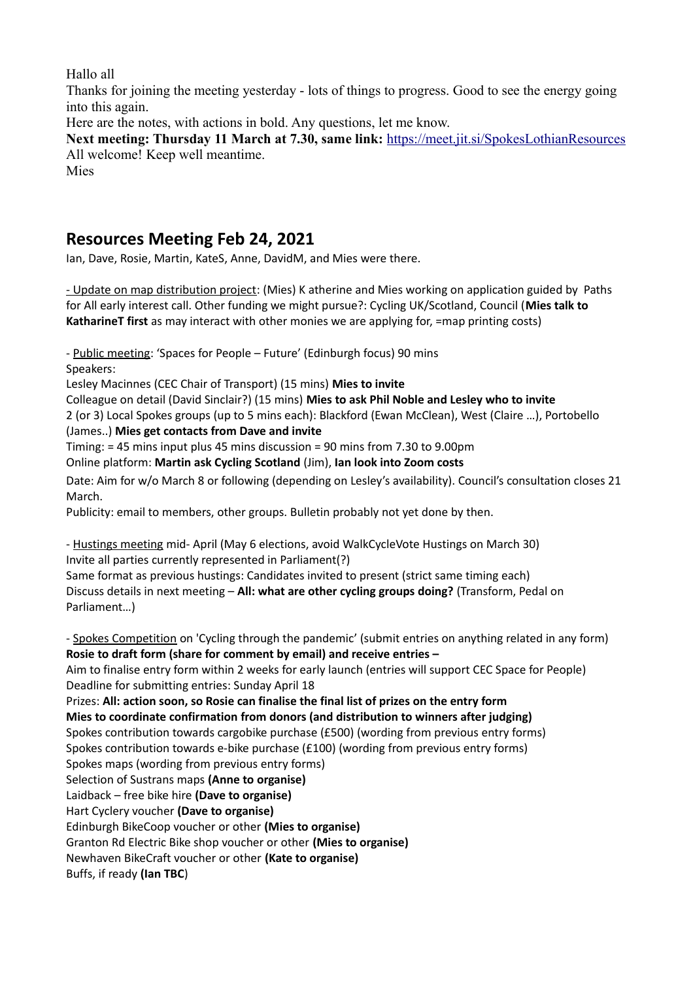Hallo all

Thanks for joining the meeting yesterday - lots of things to progress. Good to see the energy going into this again.

Here are the notes, with actions in bold. Any questions, let me know.

**Next meeting: Thursday 11 March at 7.30, same link:** <https://meet.jit.si/SpokesLothianResources> All welcome! Keep well meantime.

Mies

## **Resources Meeting Feb 24, 2021**

Ian, Dave, Rosie, Martin, KateS, Anne, DavidM, and Mies were there.

- Update on map distribution project: (Mies) K atherine and Mies working on application guided by Paths for All early interest call. Other funding we might pursue?: Cycling UK/Scotland, Council (**Mies talk to KatharineT first** as may interact with other monies we are applying for, =map printing costs)

- Public meeting: 'Spaces for People – Future' (Edinburgh focus) 90 mins Speakers:

Lesley Macinnes (CEC Chair of Transport) (15 mins) **Mies to invite**

Colleague on detail (David Sinclair?) (15 mins) **Mies to ask Phil Noble and Lesley who to invite**

2 (or 3) Local Spokes groups (up to 5 mins each): Blackford (Ewan McClean), West (Claire …), Portobello (James..) **Mies get contacts from Dave and invite**

Timing: = 45 mins input plus 45 mins discussion = 90 mins from 7.30 to 9.00pm

Online platform: **Martin ask Cycling Scotland** (Jim), **Ian look into Zoom costs**

Date: Aim for w/o March 8 or following (depending on Lesley's availability). Council's consultation closes 21 March.

Publicity: email to members, other groups. Bulletin probably not yet done by then.

- Hustings meeting mid- April (May 6 elections, avoid WalkCycleVote Hustings on March 30) Invite all parties currently represented in Parliament(?)

Same format as previous hustings: Candidates invited to present (strict same timing each) Discuss details in next meeting – **All: what are other cycling groups doing?** (Transform, Pedal on Parliament…)

- Spokes Competition on 'Cycling through the pandemic' (submit entries on anything related in any form) **Rosie to draft form (share for comment by email) and receive entries –**  Aim to finalise entry form within 2 weeks for early launch (entries will support CEC Space for People) Deadline for submitting entries: Sunday April 18 Prizes: **All: action soon, so Rosie can finalise the final list of prizes on the entry form Mies to coordinate confirmation from donors (and distribution to winners after judging)** Spokes contribution towards cargobike purchase (£500) (wording from previous entry forms) Spokes contribution towards e-bike purchase (£100) (wording from previous entry forms) Spokes maps (wording from previous entry forms) Selection of Sustrans maps **(Anne to organise)** Laidback – free bike hire **(Dave to organise)** Hart Cyclery voucher **(Dave to organise)** Edinburgh BikeCoop voucher or other **(Mies to organise)** Granton Rd Electric Bike shop voucher or other **(Mies to organise)** Newhaven BikeCraft voucher or other **(Kate to organise)** Buffs, if ready **(Ian TBC**)